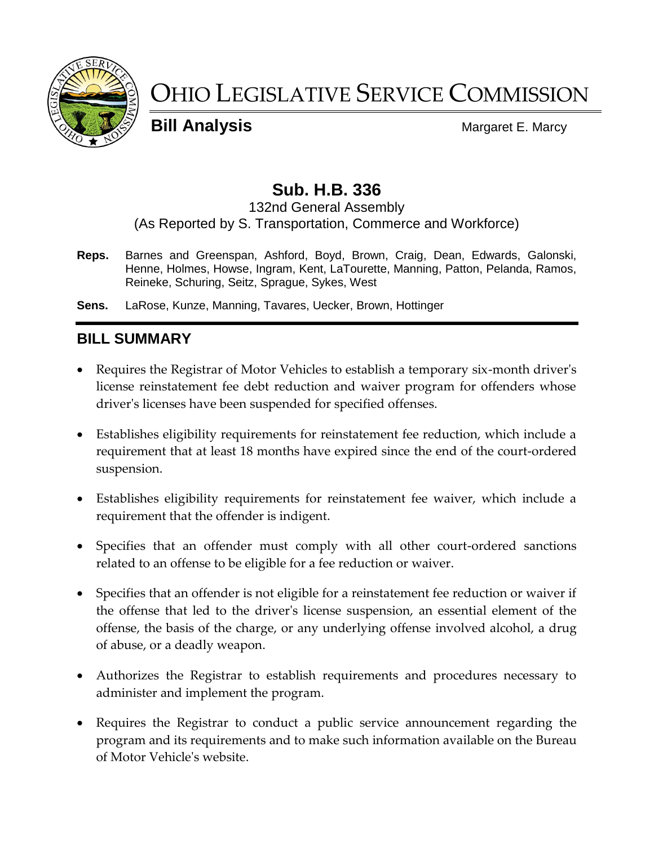

# OHIO LEGISLATIVE SERVICE COMMISSION

**Bill Analysis** Margaret E. Marcy

# **Sub. H.B. 336**

#### 132nd General Assembly (As Reported by S. Transportation, Commerce and Workforce)

**Reps.** Barnes and Greenspan, Ashford, Boyd, Brown, Craig, Dean, Edwards, Galonski, Henne, Holmes, Howse, Ingram, Kent, LaTourette, Manning, Patton, Pelanda, Ramos, Reineke, Schuring, Seitz, Sprague, Sykes, West

**Sens.** LaRose, Kunze, Manning, Tavares, Uecker, Brown, Hottinger

# **BILL SUMMARY**

- Requires the Registrar of Motor Vehicles to establish a temporary six-month driver's license reinstatement fee debt reduction and waiver program for offenders whose driver's licenses have been suspended for specified offenses.
- Establishes eligibility requirements for reinstatement fee reduction, which include a requirement that at least 18 months have expired since the end of the court-ordered suspension.
- Establishes eligibility requirements for reinstatement fee waiver, which include a requirement that the offender is indigent.
- Specifies that an offender must comply with all other court-ordered sanctions related to an offense to be eligible for a fee reduction or waiver.
- Specifies that an offender is not eligible for a reinstatement fee reduction or waiver if the offense that led to the driver's license suspension, an essential element of the offense, the basis of the charge, or any underlying offense involved alcohol, a drug of abuse, or a deadly weapon.
- Authorizes the Registrar to establish requirements and procedures necessary to administer and implement the program.
- Requires the Registrar to conduct a public service announcement regarding the program and its requirements and to make such information available on the Bureau of Motor Vehicle's website.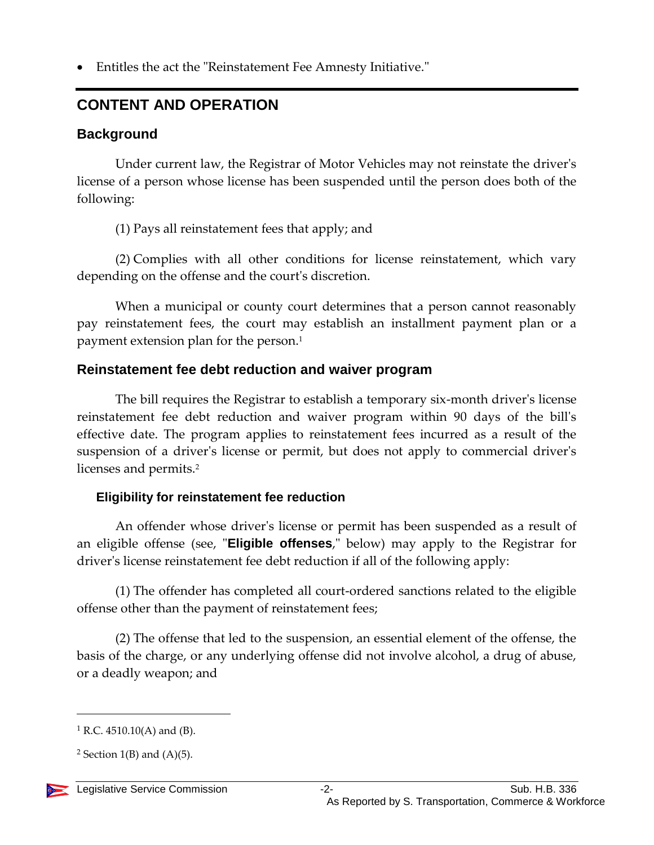Entitles the act the "Reinstatement Fee Amnesty Initiative."

# **CONTENT AND OPERATION**

## **Background**

Under current law, the Registrar of Motor Vehicles may not reinstate the driver's license of a person whose license has been suspended until the person does both of the following:

(1) Pays all reinstatement fees that apply; and

(2) Complies with all other conditions for license reinstatement, which vary depending on the offense and the court's discretion.

When a municipal or county court determines that a person cannot reasonably pay reinstatement fees, the court may establish an installment payment plan or a payment extension plan for the person.<sup>1</sup>

## **Reinstatement fee debt reduction and waiver program**

The bill requires the Registrar to establish a temporary six-month driver's license reinstatement fee debt reduction and waiver program within 90 days of the bill's effective date. The program applies to reinstatement fees incurred as a result of the suspension of a driver's license or permit, but does not apply to commercial driver's licenses and permits.<sup>2</sup>

## **Eligibility for reinstatement fee reduction**

An offender whose driver's license or permit has been suspended as a result of an eligible offense (see, "**Eligible offenses**," below) may apply to the Registrar for driver's license reinstatement fee debt reduction if all of the following apply:

(1) The offender has completed all court-ordered sanctions related to the eligible offense other than the payment of reinstatement fees;

(2) The offense that led to the suspension, an essential element of the offense, the basis of the charge, or any underlying offense did not involve alcohol, a drug of abuse, or a deadly weapon; and

<sup>&</sup>lt;sup>2</sup> Section 1(B) and  $(A)(5)$ .



 $1 R.C. 4510.10(A)$  and (B).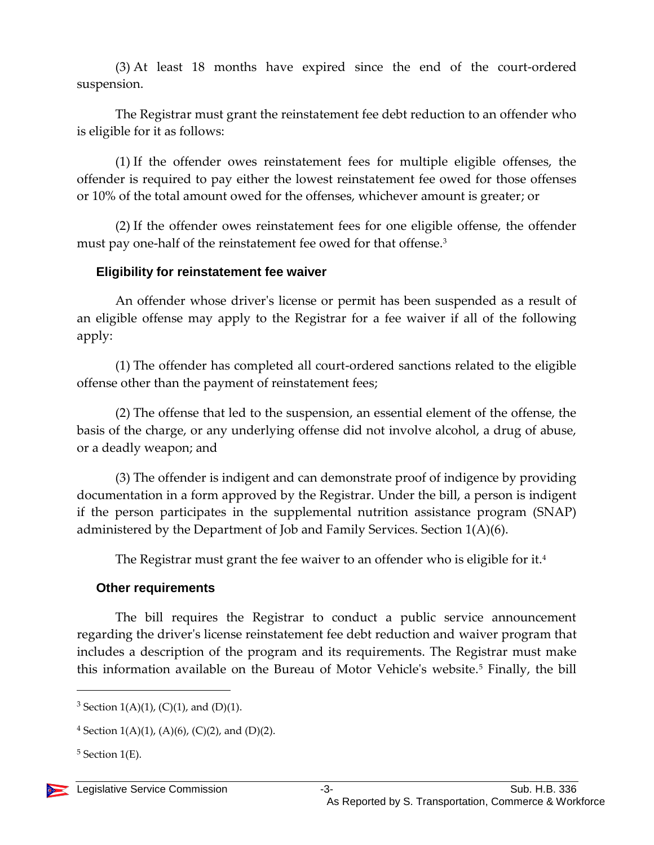(3) At least 18 months have expired since the end of the court-ordered suspension.

The Registrar must grant the reinstatement fee debt reduction to an offender who is eligible for it as follows:

(1) If the offender owes reinstatement fees for multiple eligible offenses, the offender is required to pay either the lowest reinstatement fee owed for those offenses or 10% of the total amount owed for the offenses, whichever amount is greater; or

(2) If the offender owes reinstatement fees for one eligible offense, the offender must pay one-half of the reinstatement fee owed for that offense.<sup>3</sup>

#### **Eligibility for reinstatement fee waiver**

An offender whose driver's license or permit has been suspended as a result of an eligible offense may apply to the Registrar for a fee waiver if all of the following apply:

(1) The offender has completed all court-ordered sanctions related to the eligible offense other than the payment of reinstatement fees;

(2) The offense that led to the suspension, an essential element of the offense, the basis of the charge, or any underlying offense did not involve alcohol, a drug of abuse, or a deadly weapon; and

(3) The offender is indigent and can demonstrate proof of indigence by providing documentation in a form approved by the Registrar. Under the bill, a person is indigent if the person participates in the supplemental nutrition assistance program (SNAP) administered by the Department of Job and Family Services. Section 1(A)(6).

The Registrar must grant the fee waiver to an offender who is eligible for it.<sup>4</sup>

#### **Other requirements**

The bill requires the Registrar to conduct a public service announcement regarding the driver's license reinstatement fee debt reduction and waiver program that includes a description of the program and its requirements. The Registrar must make this information available on the Bureau of Motor Vehicle's website.<sup>5</sup> Finally, the bill

<sup>&</sup>lt;sup>3</sup> Section 1(A)(1), (C)(1), and (D)(1).

 $4$  Section 1(A)(1), (A)(6), (C)(2), and (D)(2).

 $5$  Section 1(E).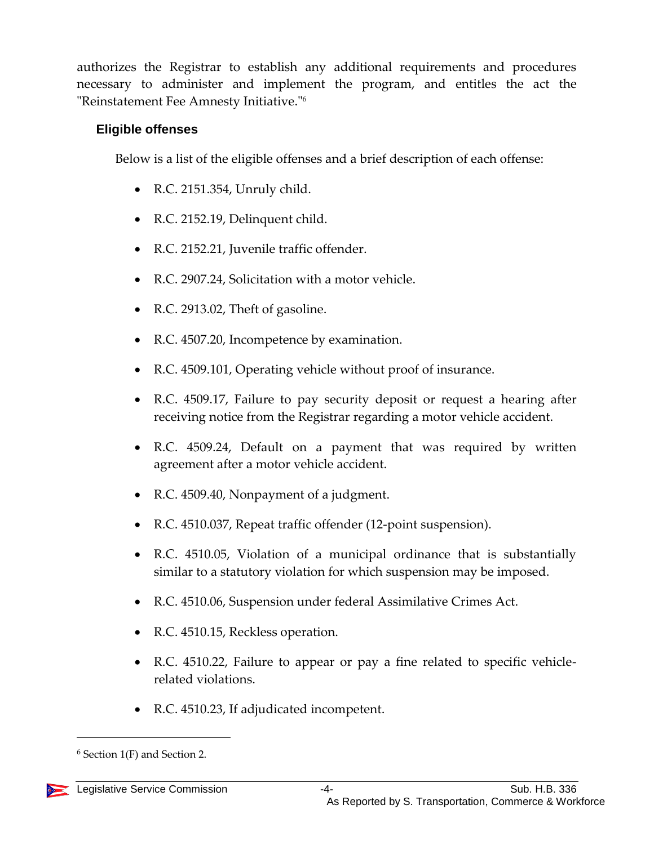authorizes the Registrar to establish any additional requirements and procedures necessary to administer and implement the program, and entitles the act the "Reinstatement Fee Amnesty Initiative."<sup>6</sup>

#### **Eligible offenses**

Below is a list of the eligible offenses and a brief description of each offense:

- R.C. 2151.354, Unruly child.
- R.C. 2152.19, Delinquent child.
- R.C. 2152.21, Juvenile traffic offender.
- R.C. 2907.24, Solicitation with a motor vehicle.
- R.C. 2913.02, Theft of gasoline.
- R.C. 4507.20, Incompetence by examination.
- R.C. 4509.101, Operating vehicle without proof of insurance.
- R.C. 4509.17, Failure to pay security deposit or request a hearing after receiving notice from the Registrar regarding a motor vehicle accident.
- R.C. 4509.24, Default on a payment that was required by written agreement after a motor vehicle accident.
- R.C. 4509.40, Nonpayment of a judgment.
- R.C. 4510.037, Repeat traffic offender (12-point suspension).
- R.C. 4510.05, Violation of a municipal ordinance that is substantially similar to a statutory violation for which suspension may be imposed.
- R.C. 4510.06, Suspension under federal Assimilative Crimes Act.
- R.C. 4510.15, Reckless operation.
- R.C. 4510.22, Failure to appear or pay a fine related to specific vehiclerelated violations.
- R.C. 4510.23, If adjudicated incompetent.

 $6$  Section 1(F) and Section 2.